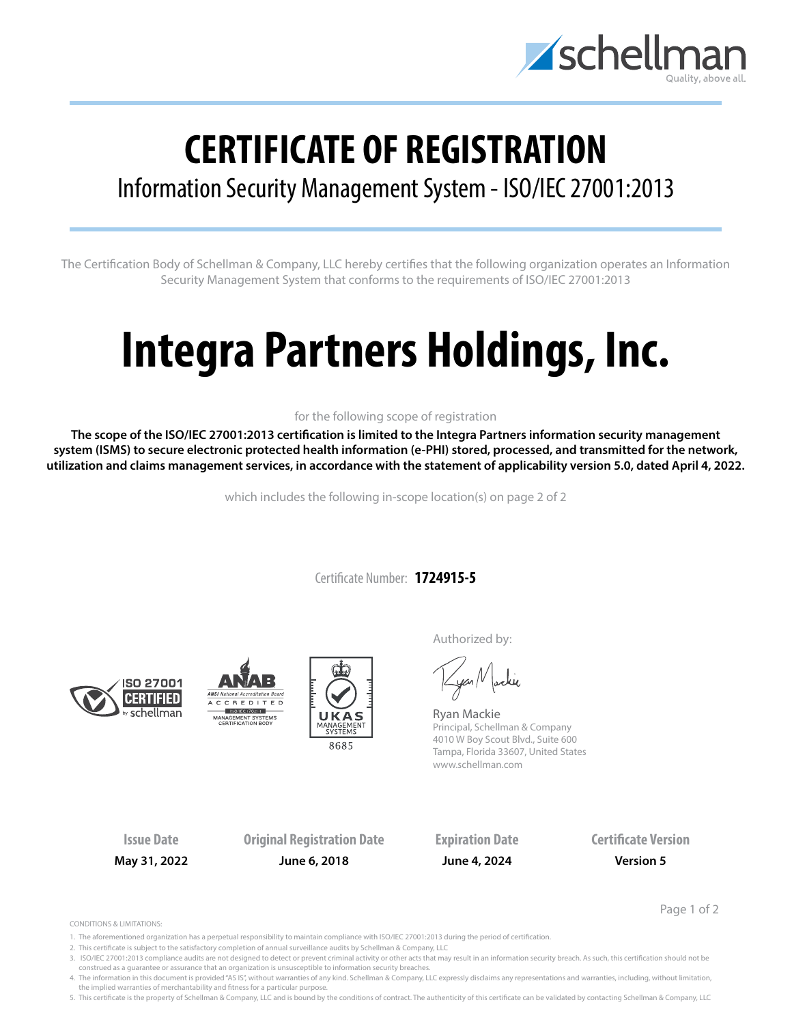

## **CERTIFICATE OF REGISTRATION**

## Information Security Management System - ISO/IEC 27001:2013

The Certification Body of Schellman & Company, LLC hereby certifies that the following organization operates an Information Security Management System that conforms to the requirements of ISO/IEC 27001:2013

# **Integra Partners Holdings, Inc.**

### for the following scope of registration

**The scope of the ISO/IEC 27001:2013 certification is limited to the Integra Partners information security management system (ISMS) to secure electronic protected health information (e-PHI) stored, processed, and transmitted for the network, utilization and claims management services, in accordance with the statement of applicability version 5.0, dated April 4, 2022.**

which includes the following in-scope location(s) on page 2 of 2

Certificate Number: **1724915-5**







Authorized by:

yan Nachie

Ryan Mackie Principal, Schellman & Company 4010 W Boy Scout Blvd., Suite 600 Tampa, Florida 33607, United States www.schellman.com

**Issue Date Original Registration Date Expiration Date Certificate Version May 31, 2022 June 6, 2018 June 4, 2024 Version 5**

Page 1 of 2

CONDITIONS & LIMITATIONS:

- 1. The aforementioned organization has a perpetual responsibility to maintain compliance with ISO/IEC 27001:2013 during the period of certification.
- 2. This certificate is subject to the satisfactory completion of annual surveillance audits by Schellman & Company, LLC
- 3. ISO/IEC 27001:2013 compliance audits are not designed to detect or prevent criminal activity or other acts that may result in an information security breach. As such, this certification should not be construed as a guarantee or assurance that an organization is unsusceptible to information security breaches.

4. The information in this document is provided "AS IS", without warranties of any kind. Schellman & Company, LLC expressly disclaims any representations and warranties, including, without limitation, the implied warranties of merchantability and fitness for a particular purpose.

5. This certificate is the property of Schellman & Company, LLC and is bound by the conditions of contract. The authenticity of this certificate can be validated by contacting Schellman & Company, LLC